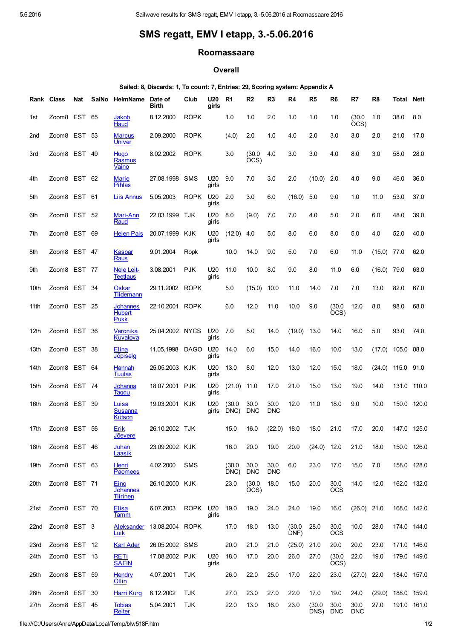## SMS regatt, EMV I etapp, 3.-5.06.2016

## Roomassaare

## **Overall**

## Sailed: 8, Discards: 1, To count: 7, Entries: 29, Scoring system: Appendix A

|      | Rank Class   | Nat | SaiNo | HelmName                                 | Date of<br><b>Birth</b> | Club        | U20<br>girls | R <sub>1</sub> | R <sub>2</sub>     | R <sub>3</sub>     | R <sub>4</sub> | R <sub>5</sub> | R <sub>6</sub>     | R7                 | R <sub>8</sub> | Total       | <b>Nett</b> |
|------|--------------|-----|-------|------------------------------------------|-------------------------|-------------|--------------|----------------|--------------------|--------------------|----------------|----------------|--------------------|--------------------|----------------|-------------|-------------|
| 1st  | Zoom8 EST    |     | 65    | Jakob<br>Haud                            | 8.12.2000               | <b>ROPK</b> |              | 1.0            | 1.0                | 2.0                | 1.0            | 1.0            | 1.0                | (30.0)<br>OCS      | 1.0            | 38.0        | 8.0         |
| 2nd  | Zoom8 EST    |     | -53   | <b>Marcus</b><br>Univer                  | 2.09.2000               | <b>ROPK</b> |              | (4.0)          | 2.0                | 1.0                | 4.0            | 2.0            | 3.0                | 3.0                | 2.0            | 21.0        | 17.0        |
| 3rd  | Zoom8 EST 49 |     |       | <u>Huqo</u><br>Rasmus<br>Vaino           | 8.02.2002               | <b>ROPK</b> |              | 3.0            | (30.0)<br>OCS)     | 4.0                | 3.0            | 3.0            | 4.0                | 8.0                | 3.0            | 58.0        | 28.0        |
| 4th  | Zoom8 EST 62 |     |       | Marie<br>Pihlas                          | 27.08.1998              | <b>SMS</b>  | U20<br>girls | 9.0            | 7.0                | 3.0                | 2.0            | (10.0)         | 2.0                | 4.0                | 9.0            | 46.0        | 36.0        |
| 5th  | Zoom8 EST 61 |     |       | <b>Liis Annus</b>                        | 5.05.2003               | <b>ROPK</b> | U20<br>girls | 2.0            | 3.0                | 6.0                | (16.0)         | 5.0            | 9.0                | 1.0                | 11.0           | 53.0        | 37.0        |
| 6th  | Zoom8 EST 52 |     |       | Mari-Ann<br>Raud                         | 22.03.1999              | TJK         | U20<br>girls | 8.0            | (9.0)              | 7.0                | 7.0            | 4.0            | 5.0                | 2.0                | 6.0            | 48.0        | 39.0        |
| 7th  | Zoom8 EST 69 |     |       | <b>Helen Pais</b>                        | 20.07.1999              | KJK         | U20<br>girls | (12.0)         | 4.0                | 5.0                | 8.0            | 6.0            | 8.0                | 5.0                | 4.0            | 52.0        | 40.0        |
| 8th  | Zoom8 EST 47 |     |       | Kaspar<br>Raus                           | 9.01.2004               | Ropk        |              | 10.0           | 14.0               | 9.0                | 5.0            | 7.0            | 6.0                | 11.0               | (15.0)         | 77.0        | 62.0        |
| 9th  | Zoom8 EST 77 |     |       | Nele Leit-<br>Teetlaus                   | 3.08.2001               | <b>PJK</b>  | U20<br>girls | 11.0           | 10.0               | 8.0                | 9.0            | 8.0            | 11.0               | 6.0                | (16.0)         | 79.0        | 63.0        |
| 10th | Zoom8 EST 34 |     |       | Oskar<br>Tiidemann                       | 29.11.2002              | <b>ROPK</b> |              | 5.0            | (15.0)             | 10.0               | 11.0           | 14.0           | 7.0                | 7.0                | 13.0           | 82.0        | 67.0        |
| 11th | Zoom8 EST 25 |     |       | Johannes<br><b>Hubert</b><br><b>Pukk</b> | 22.10.2001              | <b>ROPK</b> |              | 6.0            | 12.0               | 11.0               | 10.0           | 9.0            | (30.0<br>OCS)      | 12.0               | 8.0            | 98.0        | 68.0        |
| 12th | Zoom8 EST 36 |     |       | Veronika<br>Kuvatova                     | 25.04.2002 NYCS         |             | U20<br>girls | 7.0            | 5.0                | 14.0               | (19.0)         | 13.0           | 14.0               | 16.0               | 5.0            | 93.0        | 74.0        |
| 13th | Zoom8 EST 38 |     |       | Elina<br><b>Jõpiselg</b>                 | 11.05.1998              | <b>DAGO</b> | U20<br>girls | 14.0           | 6.0                | 15.0               | 14.0           | 16.0           | 10.0               | 13.0               | (17.0)         | 105.0       | 88.0        |
| 14th | Zoom8 EST 64 |     |       | Hannah<br>Tuulas                         | 25.05.2003              | KJK         | U20<br>girls | 13.0           | 8.0                | 12.0               | 13.0           | 12.0           | 15.0               | 18.0               | (24.0)         | 115.0       | 91.0        |
| 15th | Zoom8 EST 74 |     |       | Johanna<br>Taggu                         | 18.07.2001              | <b>PJK</b>  | U20<br>girls | (21.0)         | 11.0               | 17.0               | 21.0           | 15.0           | 13.0               | 19.0               | 14.0           | 131.0       | 110.0       |
| 16th | Zoom8 EST 39 |     |       | Luisa<br>Susanna<br>Kütson               | 19.03.2001              | KJK         | U20<br>girls | (30.0<br>DNC)  | 30.0<br><b>DNC</b> | 30.0<br><b>DNC</b> | 12.0           | 11.0           | 18.0               | 9.0                | 10.0           | 150.0       | 120.0       |
| 17th | Zoom8 EST 56 |     |       | <u>Erik</u><br><u>Joevere</u>            | 26.10.2002 TJK          |             |              | 15.0           | 16.0               | (22.0)             | 18.0           | 18.0           | 21.0               | 17.0               | 20.0           |             | 147.0 125.0 |
| 18th | Zoom8 EST 46 |     |       | Juhan<br>Laasik                          | 23.09.2002 KJK          |             |              | 16.0           | 20.0               | 19.0               | 20.0           | $(24.0)$ 12.0  |                    | 21.0               | 18.0           |             | 150.0 126.0 |
| 19th | Zoom8 EST 63 |     |       | Henri<br><b>Paomees</b>                  | 4.02.2000               | SMS         |              | (30.0)<br>DNC) | 30.0<br><b>DNC</b> | 30.0<br><b>DNC</b> | 6.0            | 23.0           | 17.0               | 15.0               | 7.0            |             | 158.0 128.0 |
| 20th | Zoom8 EST 71 |     |       | Eino<br>Johannes<br><u>Tiirinen</u>      | 26.10.2000 KJK          |             |              | 23.0           | (30.0)<br>OCS)     | 18.0               | 15.0           | 20.0           | 30.0<br><b>OCS</b> | 14.0               | 12.0           |             | 162.0 132.0 |
| 21st | Zoom8 EST 70 |     |       | Elisa<br>Tamm                            | 6.07.2003               | ROPK U20    | girls        | 19.0           | 19.0               | 24.0               | 24.0           | 19.0           | 16.0               | $(26.0)$ 21.0      |                |             | 168.0 142.0 |
| 22nd | Zoom8 EST 3  |     |       | Aleksander<br>Luik                       | 13.08.2004 ROPK         |             |              | 17.0           | 18.0               | 13.0               | (30.0)<br>DNF) | 28.0           | 30.0<br><b>OCS</b> | 10.0               | 28.0           |             | 174.0 144.0 |
| 23rd | Zoom8 EST 12 |     |       | <b>Karl Ader</b>                         | 26.05.2002 SMS          |             |              | 20.0           | 21.0               | 21.0               | (25.0)         | 21.0           | 20.0               | 20.0               | 23.0           |             | 171.0 146.0 |
| 24th | Zoom8 EST 13 |     |       | <b>RETI</b><br><b>SAFIN</b>              | 17.08.2002 PJK          |             | U20<br>girls | 18.0           | 17.0               | 20.0               | 26.0           | 27.0           | (30.0)<br>OCS)     | 22.0               | 19.0           |             | 179.0 149.0 |
| 25th | Zoom8 EST 59 |     |       | <b>Hendry</b><br>Ollin                   | 4.07.2001               | <b>TJK</b>  |              | 26.0           | 22.0               | 25.0               | 17.0           | 22.0           | 23.0               | (27.0)             | 22.0           |             | 184.0 157.0 |
| 26th | Zoom8 EST 30 |     |       | <b>Harri Kurg</b>                        | 6.12.2002               | TJK.        |              | 27.0           | 23.0               | 27.0               | 22.0           | 17.0           | 19.0               | 24.0               | (29.0)         | 188.0 159.0 |             |
| 27th | Zoom8 EST 45 |     |       | <b>Tobias</b><br>Reiter                  | 5.04.2001               | TJK         |              | 22.0           | 13.0               | 16.0               | 23.0           | (30.0)<br>DNS) | 30.0<br><b>DNC</b> | 30.0<br><b>DNC</b> | 27.0           |             | 191.0 161.0 |

file:///C:/Users/Anre/AppData/Local/Temp/blw518F.htm 1/2